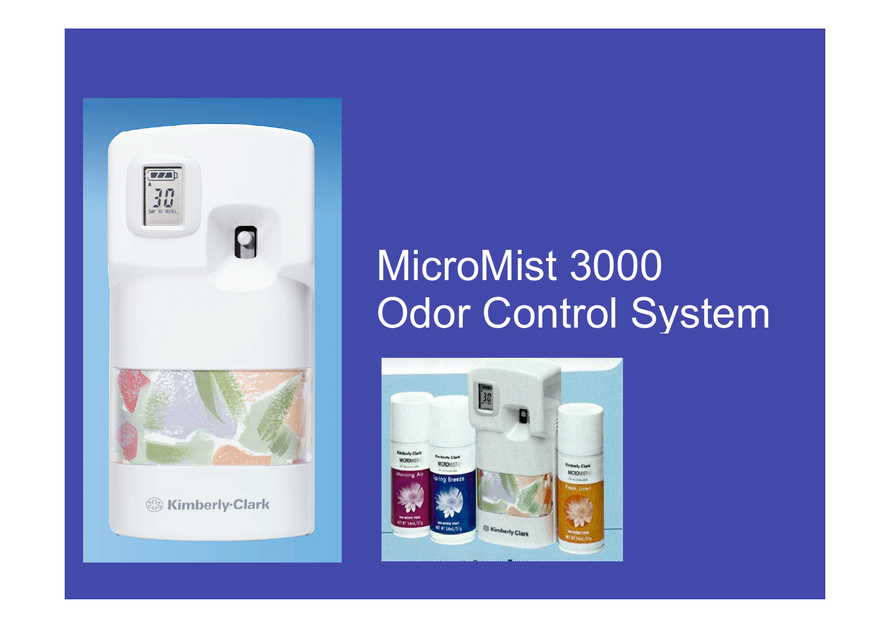

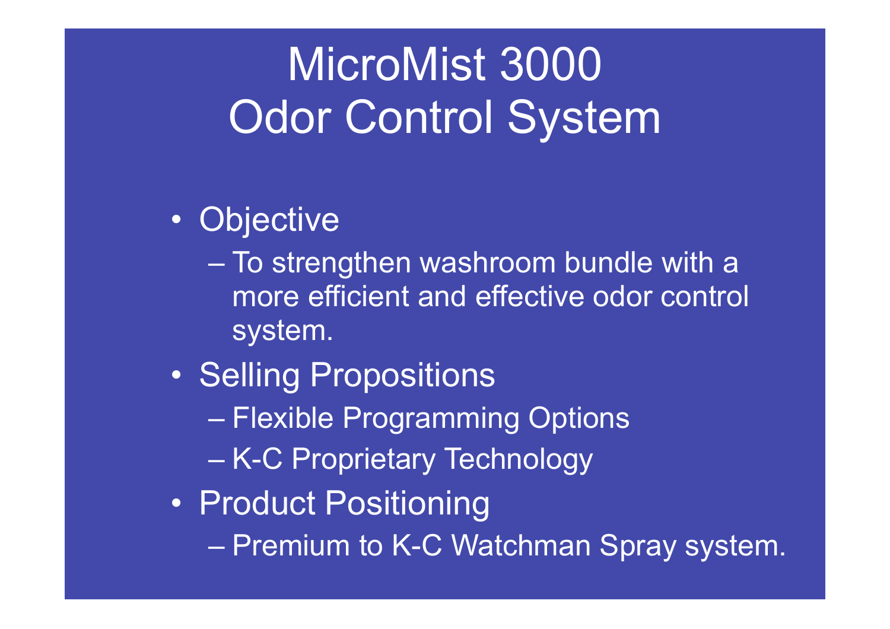#### • Objective

- To strengthen washroom bundle with a more efficient and effective odor control system.
- Selling Propositions
	- Flexible Programming Options
	- K-C Proprietary Technology
- Product Positioning
	- Premium to K-C Watchman Spray system.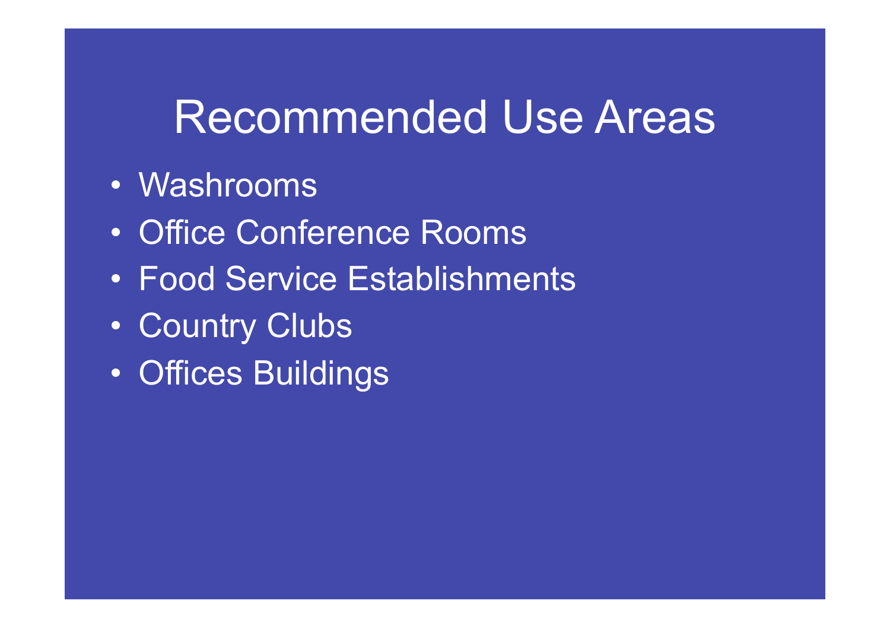#### Recommended Use Areas

- Washrooms
- Office Conference Rooms
- Food Service Establishments
- Country Clubs
- Offices Buildings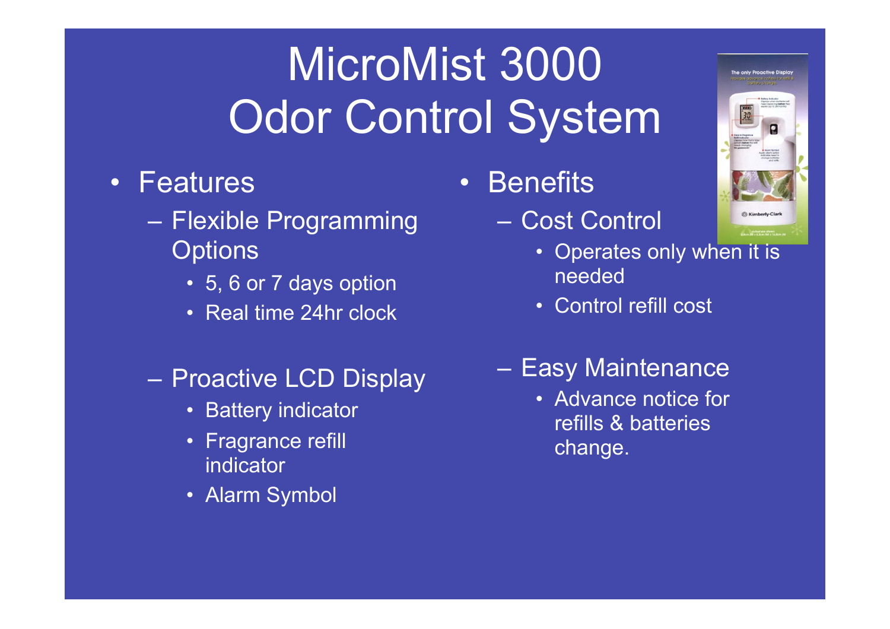- Features
	- Flexible Programming **Options** 
		- 5, 6 or 7 days option
		- Real time 24hr clock
	- Proactive LCD Display
		- Battery indicator
		- Fragrance refill indicator
		- Alarm Symbol
- Benefits
	- Cost Control



- Operates only when it is needed
- Control refill cost
- Easy Maintenance
	- Advance notice for refills & batteries change.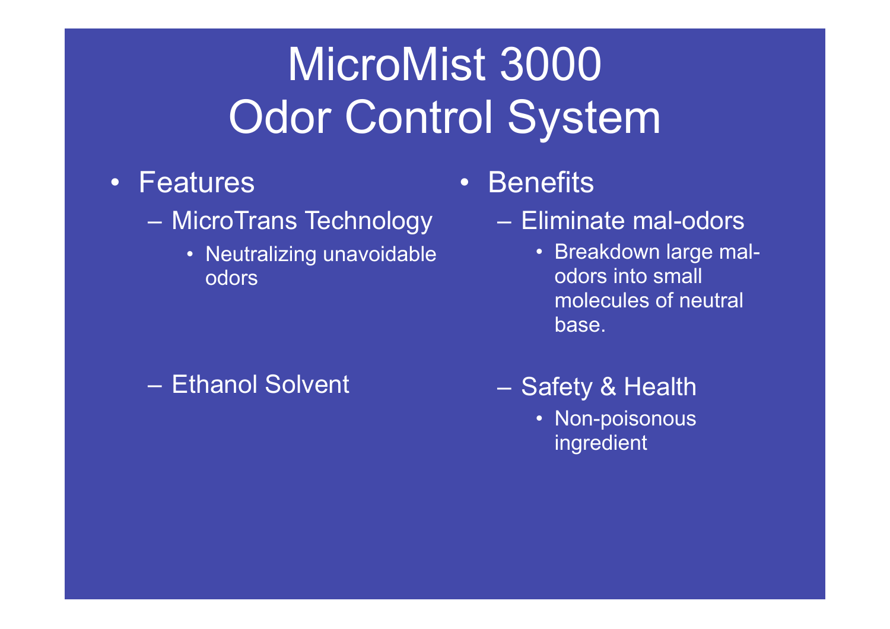- Features
	- MicroTrans Technology Eliminate mal-odors
		- Neutralizing unavoidable odors

– Ethanol Solvent

- Benefits
	- - Breakdown large malodors into small molecules of neutral base.
	- Safety & Health
		- Non-poisonous ingredient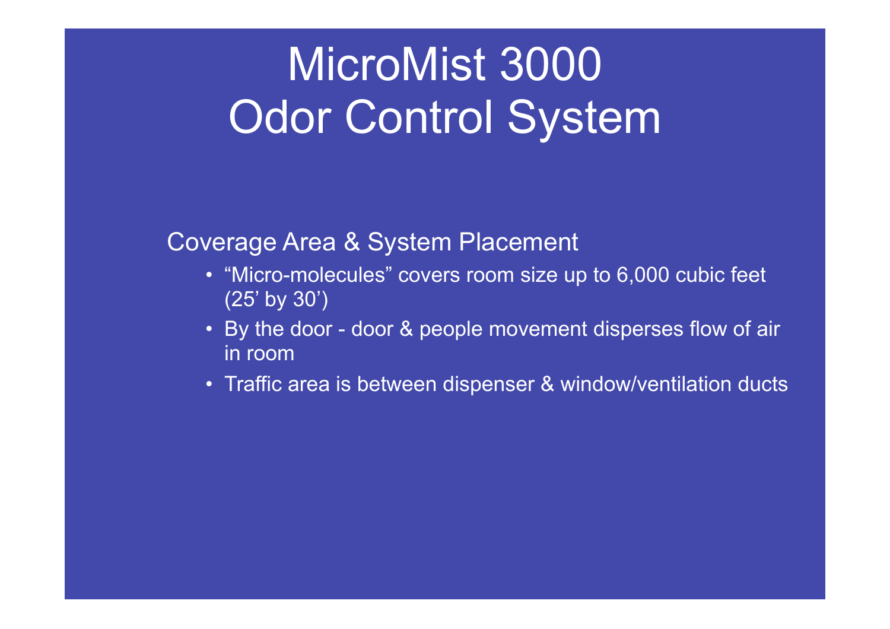Coverage Area & System Placement

- "Micro-molecules" covers room size up to 6,000 cubic feet (25' by 30')
- By the door door & people movement disperses flow of air in room
- Traffic area is between dispenser & window/ventilation ducts